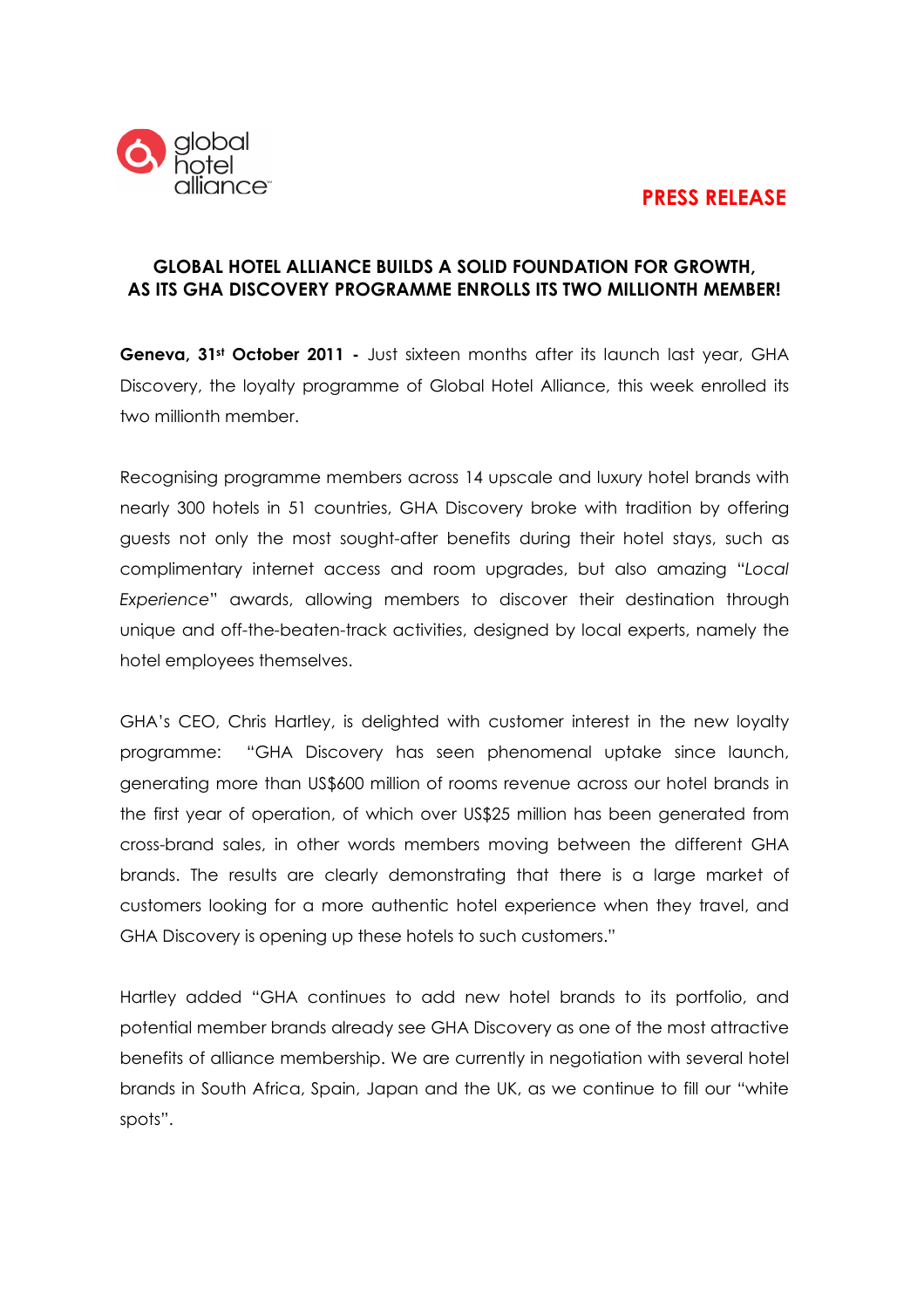# PRESS RELEASE



## GLOBAL HOTEL ALLIANCE BUILDS A SOLID FOUNDATION FOR GROWTH, AS ITS GHA DISCOVERY PROGRAMME ENROLLS ITS TWO MILLIONTH MEMBER!

Geneva, 31<sup>st</sup> October 2011 - Just sixteen months after its launch last year, GHA Discovery, the loyalty programme of Global Hotel Alliance, this week enrolled its two millionth member.

Recognising programme members across 14 upscale and luxury hotel brands with nearly 300 hotels in 51 countries, GHA Discovery broke with tradition by offering guests not only the most sought-after benefits during their hotel stays, such as complimentary internet access and room upgrades, but also amazing "Local Experience" awards, allowing members to discover their destination through unique and off-the-beaten-track activities, designed by local experts, namely the hotel employees themselves.

GHA's CEO, Chris Hartley, is delighted with customer interest in the new loyalty programme: "GHA Discovery has seen phenomenal uptake since launch, generating more than US\$600 million of rooms revenue across our hotel brands in the first year of operation, of which over US\$25 million has been generated from cross-brand sales, in other words members moving between the different GHA brands. The results are clearly demonstrating that there is a large market of customers looking for a more authentic hotel experience when they travel, and GHA Discovery is opening up these hotels to such customers."

Hartley added "GHA continues to add new hotel brands to its portfolio, and potential member brands already see GHA Discovery as one of the most attractive benefits of alliance membership. We are currently in negotiation with several hotel brands in South Africa, Spain, Japan and the UK, as we continue to fill our "white spots".